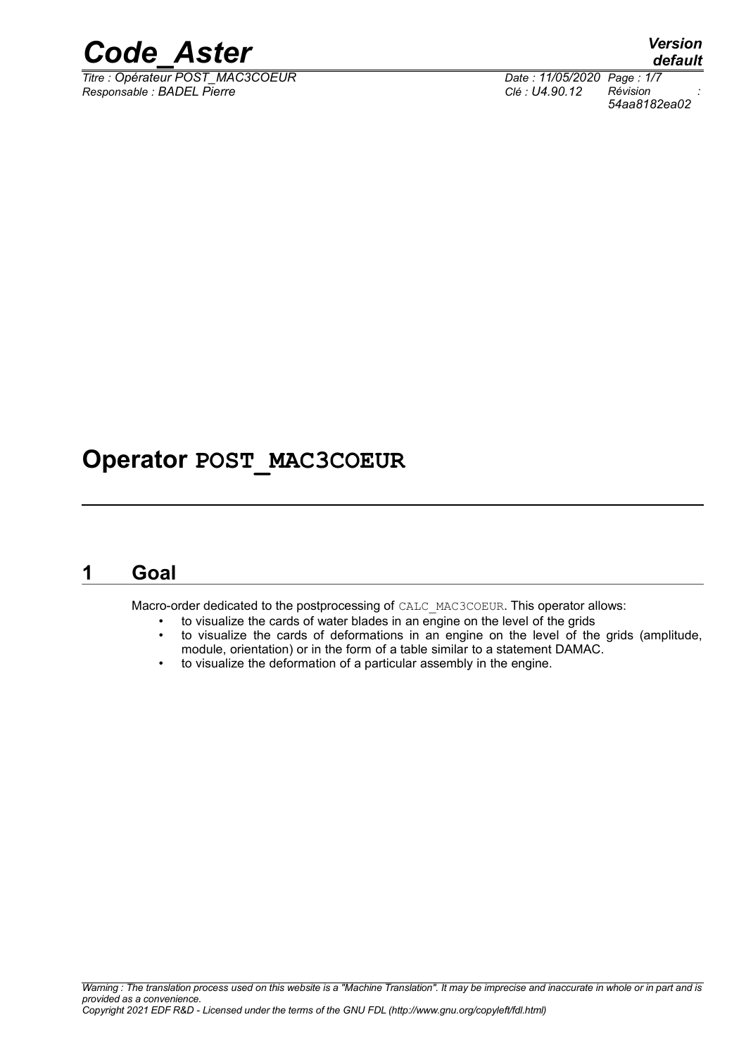

*Titre : Opérateur POST\_MAC3COEUR Date : 11/05/2020 Page : 1/7 Responsable : BADEL Pierre Clé : U4.90.12 Révision :*

*default 54aa8182ea02*

### **Operator POST\_MAC3COEUR**

### **1 Goal**

Macro-order dedicated to the postprocessing of CALC\_MAC3COEUR. This operator allows:

- to visualize the cards of water blades in an engine on the level of the grids
- to visualize the cards of deformations in an engine on the level of the grids (amplitude, module, orientation) or in the form of a table similar to a statement DAMAC.
- to visualize the deformation of a particular assembly in the engine.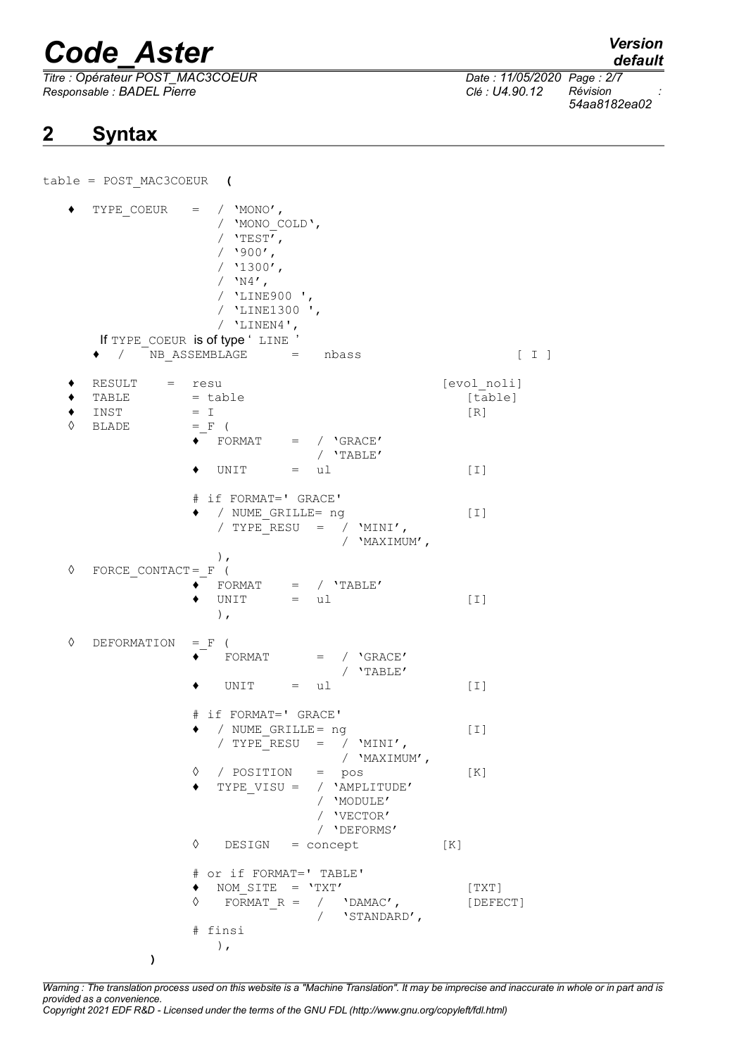table = POST\_MAC3COEUR **(**

*Titre : Opérateur POST\_MAC3COEUR Date : 11/05/2020 Page : 2/7 Responsable : BADEL Pierre Clé : U4.90.12 Révision :*

### **2 Syntax**

*default*

*54aa8182ea02*

 $\blacklozenge$  TYPE COEUR = / 'MONO', / 'MONO\_COLD',  $/$  'TEST',  $/$  '900',  $/ 1300'$ ,  $/$  'N4', / 'LINE900 ', / 'LINE1300 ', / 'LINEN4', If TYPE COEUR is of type ' LINE '  $\bullet$  /  $\overline{N}$ B ASSEMBLAGE = nbass  $\begin{bmatrix} 1 \end{bmatrix}$ ♦ RESULT = resu [evol\_noli]  $\bullet$  TABLE  $=$  table  $[$  table  $\bullet$  INST  $= I$  [R]  $\Diamond$  BLADE = F (  $\begin{array}{ccc} \bullet \end{array}$  FORMAT = /  $\text{'GRACE'}$ / 'TABLE'  $\bullet$  UNIT = ul [I] # if FORMAT=' GRACE' ♦ / NUME\_GRILLE= ng [I] /  $TYPE<sup>-</sup>RESU = / 'MINI',$ / 'MAXIMUM', ), ◊ FORCE\_CONTACT=\_F (  $\begin{array}{ccc} \bullet^- & \text{FORMAT} & = & / & 'TABLE' \end{array}$  $\bullet$  UNIT = ul [I] ), ◊ DEFORMATION =\_F (  $\bullet$  FORMAT = /  $\text{'GRACE'}$ / 'TABLE'  $\bullet$  UNIT = ul [I] # if FORMAT=' GRACE' ♦ / NUME\_GRILLE= ng [I] /  $TYPE<sup>-</sup>RESU = / 'MINI',$ / 'MAXIMUM', ◊ / POSITION = pos [K] TYPE VISU =  $/$  'AMPLITUDE' / 'MODULE' / 'VECTOR' / 'DEFORMS' ◊ DESIGN = concept [K] # or if FORMAT=' TABLE'  $\bullet$  NOM SITE = 'TXT' [TXT]  $\sqrt{}$  FORMAT R = / 'DAMAC', [DEFECT] / 'STANDARD', # finsi ), **)**

*Warning : The translation process used on this website is a "Machine Translation". It may be imprecise and inaccurate in whole or in part and is provided as a convenience. Copyright 2021 EDF R&D - Licensed under the terms of the GNU FDL (http://www.gnu.org/copyleft/fdl.html)*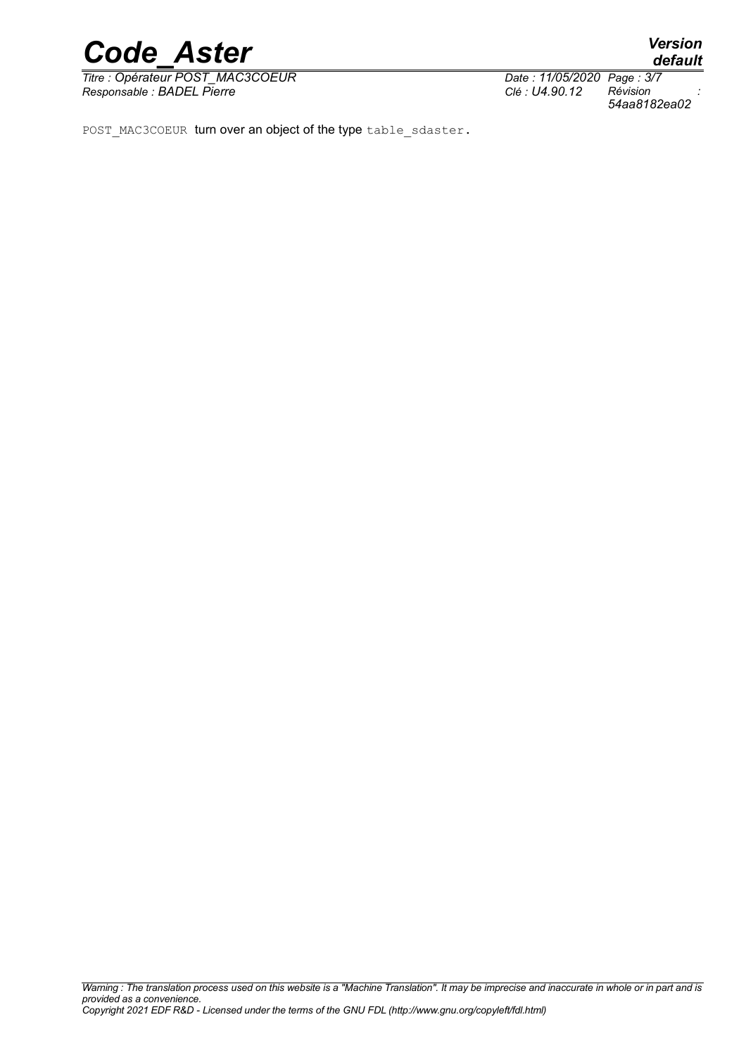*Titre : Opérateur POST\_MAC3COEUR Date : 11/05/2020 Page : 3/7 Responsable : BADEL Pierre Clé : U4.90.12 Révision :*

*54aa8182ea02*

POST\_MAC3COEUR turn over an object of the type table sdaster.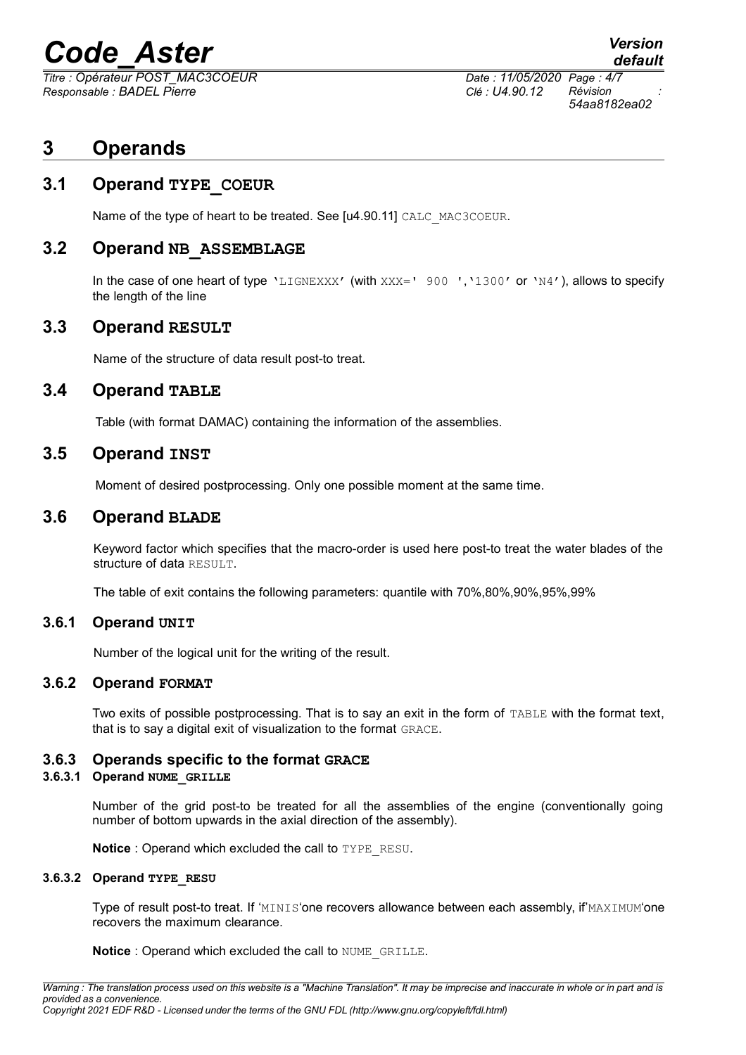*Titre : Opérateur POST\_MAC3COEUR Date : 11/05/2020 Page : 4/7 Responsable : BADEL Pierre Clé : U4.90.12 Révision :*

## *default 54aa8182ea02*

**3 Operands**

#### **3.1 Operand TYPE\_COEUR**

Name of the type of heart to be treated. See [u4.90.11] CALC\_MAC3COEUR.

#### **3.2 Operand NB\_ASSEMBLAGE**

In the case of one heart of type 'LIGNEXXX' (with XXX=' 900 ','1300' or 'N4'), allows to specify the length of the line

#### **3.3 Operand RESULT**

Name of the structure of data result post-to treat.

#### **3.4 Operand TABLE**

Table (with format DAMAC) containing the information of the assemblies.

#### **3.5 Operand INST**

Moment of desired postprocessing. Only one possible moment at the same time.

#### **3.6 Operand BLADE**

Keyword factor which specifies that the macro-order is used here post-to treat the water blades of the structure of data RESULT.

The table of exit contains the following parameters: quantile with 70%,80%,90%,95%,99%

#### **3.6.1 Operand UNIT**

Number of the logical unit for the writing of the result.

#### **3.6.2 Operand FORMAT**

Two exits of possible postprocessing. That is to say an exit in the form of TABLE with the format text, that is to say a digital exit of visualization to the format GRACE.

#### **3.6.3 Operands specific to the format GRACE**

#### **3.6.3.1 Operand NUME\_GRILLE**

Number of the grid post-to be treated for all the assemblies of the engine (conventionally going number of bottom upwards in the axial direction of the assembly).

**Notice** : Operand which excluded the call to TYPE\_RESU.

#### **3.6.3.2 Operand TYPE\_RESU**

Type of result post-to treat. If 'MINIS'one recovers allowance between each assembly, if'MAXIMUM'one recovers the maximum clearance.

**Notice** : Operand which excluded the call to NUME\_GRILLE.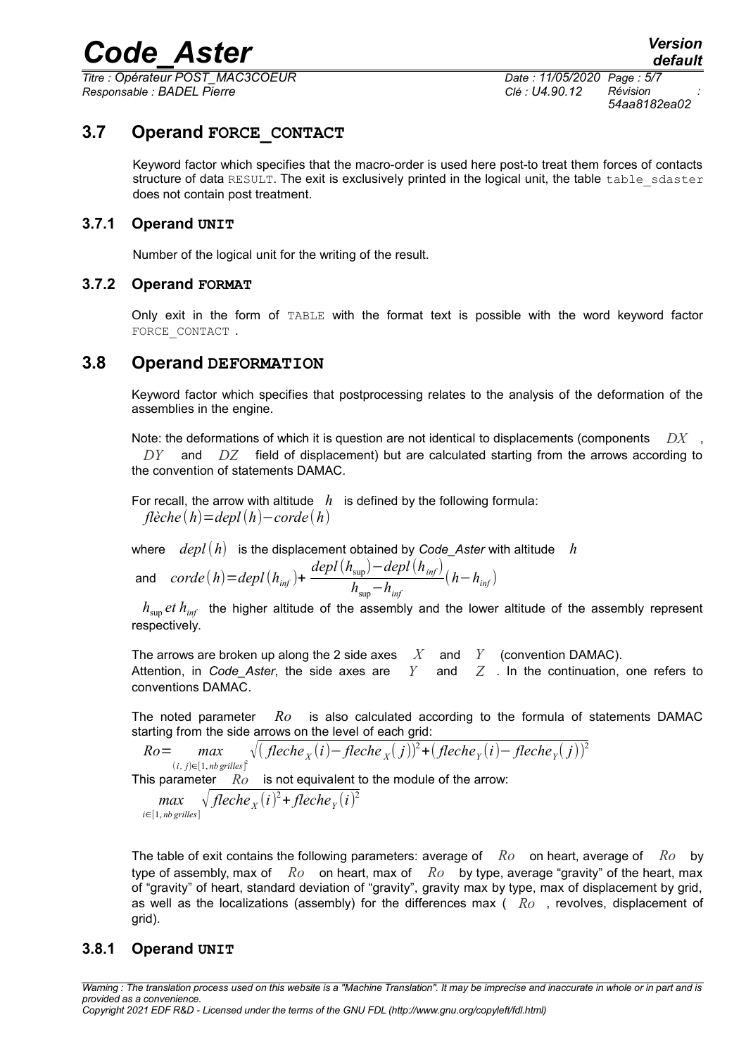*Titre : Opérateur POST\_MAC3COEUR Date : 11/05/2020 Page : 5/7 Responsable : BADEL Pierre Clé : U4.90.12 Révision :*

*54aa8182ea02*

#### **3.7 Operand FORCE\_CONTACT**

Keyword factor which specifies that the macro-order is used here post-to treat them forces of contacts structure of data RESULT. The exit is exclusively printed in the logical unit, the table table sdaster does not contain post treatment.

#### **3.7.1 Operand UNIT**

Number of the logical unit for the writing of the result.

#### **3.7.2 Operand FORMAT**

Only exit in the form of TABLE with the format text is possible with the word keyword factor FORCE CONTACT.

#### **3.8 Operand DEFORMATION**

Keyword factor which specifies that postprocessing relates to the analysis of the deformation of the assemblies in the engine.

Note: the deformations of which it is question are not identical to displacements (components *DX* , *DY* and *DZ* field of displacement) but are calculated starting from the arrows according to the convention of statements DAMAC.

For recall, the arrow with altitude  $h$  is defined by the following formula: *flèche* (*h*)=*depl*(*h*)−*corde*(*h*)

where  $depl(h)$  is the displacement obtained by Code Aster with altitude *h* 

and 
$$
corde(h) = depl(h_{inf}) + \frac{depl(h_{sup}) - depl(h_{inf})}{h_{sup} - h_{inf}}(h - h_{inf})
$$

 $h_{\text{sun}}$  *et*  $h_{\text{inf}}$  the higher altitude of the assembly and the lower altitude of the assembly represent respectively.

The arrows are broken up along the 2 side axes *X* and *Y* (convention DAMAC). Attention, in *Code Aster*, the side axes are  $Y$  and  $Z$ . In the continuation, one refers to conventions DAMAC.

The noted parameter *Ro* is also calculated according to the formula of statements DAMAC starting from the side arrows on the level of each grid:

*Ro*= *max*  $(i, j) ∈ [1, nb$  *grilles*<sup>2</sup> 2√( *fleche <sup>X</sup>* (*i*)− *fleche <sup>X</sup>* ( *j*)) 2 +( *fleche<sup>Y</sup>* (*i*)− *fleche<sup>Y</sup>* ( *j*)) 2

This parameter *Ro* is not equivalent to the module of the arrow:

*max i*∈[1, *nb grilles*]  $\sqrt{fleche_X(i)^2 + fleche_Y(i)^2}$ 

The table of exit contains the following parameters: average of *Ro* on heart, average of *Ro* by type of assembly, max of *Ro* on heart, max of *Ro* by type, average "gravity" of the heart, max of "gravity" of heart, standard deviation of "gravity", gravity max by type, max of displacement by grid, as well as the localizations (assembly) for the differences max ( *Ro* , revolves, displacement of grid).

#### **3.8.1 Operand UNIT**

*Warning : The translation process used on this website is a "Machine Translation". It may be imprecise and inaccurate in whole or in part and is provided as a convenience. Copyright 2021 EDF R&D - Licensed under the terms of the GNU FDL (http://www.gnu.org/copyleft/fdl.html)*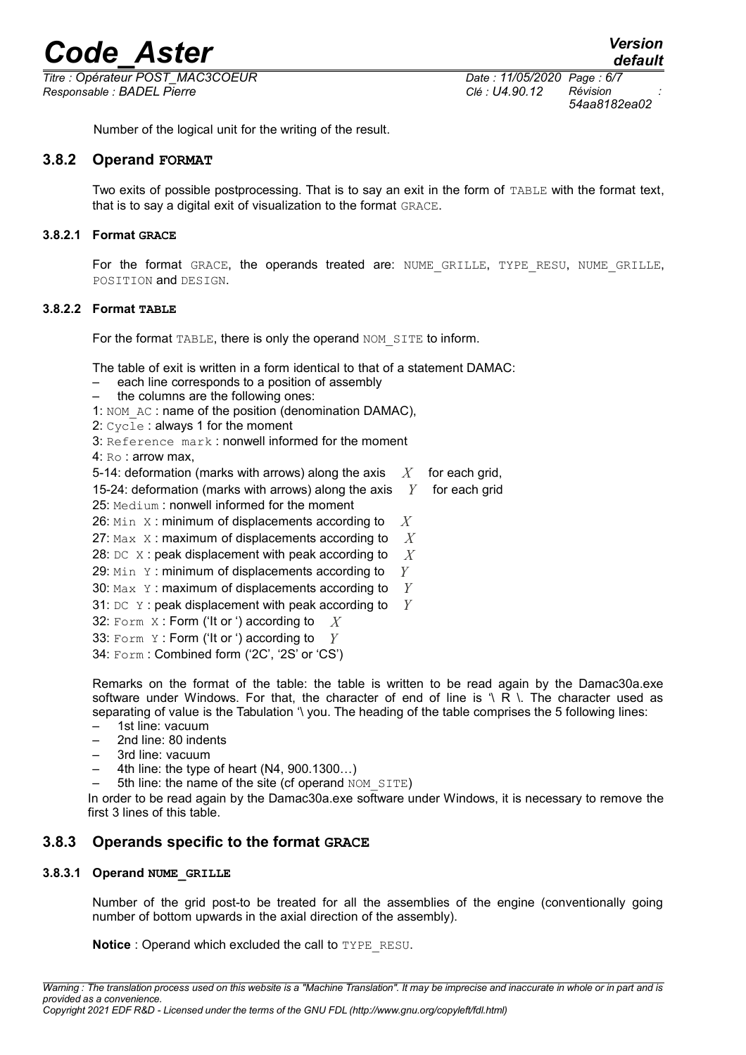*Titre : Opérateur POST\_MAC3COEUR Date : 11/05/2020 Page : 6/7 Responsable : BADEL Pierre Clé : U4.90.12 Révision :*

*54aa8182ea02*

Number of the logical unit for the writing of the result.

#### **3.8.2 Operand FORMAT**

Two exits of possible postprocessing. That is to say an exit in the form of TABLE with the format text, that is to say a digital exit of visualization to the format GRACE.

#### **3.8.2.1 Format GRACE**

For the format GRACE, the operands treated are: NUME GRILLE, TYPE RESU, NUME GRILLE, POSITION and DESIGN.

#### **3.8.2.2 Format TABLE**

For the format TABLE, there is only the operand NOM SITE to inform.

The table of exit is written in a form identical to that of a statement DAMAC:

- each line corresponds to a position of assembly
- the columns are the following ones:
- 1: NOM AC : name of the position (denomination DAMAC),

2: Cycle : always 1 for the moment

3: Reference mark : nonwell informed for the moment

- 4: Ro : arrow max,
- 5-14: deformation (marks with arrows) along the axis *X* for each grid,

15-24: deformation (marks with arrows) along the axis  $Y$  for each grid

25: Medium: nonwell informed for the moment

26: Min X : minimum of displacements according to *X*

- 27: Max X : maximum of displacements according to *X*
- 28: DC X : peak displacement with peak according to *X*
- 29: Min Y : minimum of displacements according to *Y*
- 30: Max Y : maximum of displacements according to *Y*
- 31: DC Y : peak displacement with peak according to *Y*
- 32: Form X : Form ('It or ') according to *X*
- 33: Form Y : Form ('It or ') according to *Y*
- 34: Form : Combined form ('2C', '2S' or 'CS')

Remarks on the format of the table: the table is written to be read again by the Damac30a.exe software under Windows. For that, the character of end of line is  $\sqrt{R}$ . The character used as separating of value is the Tabulation '\ you. The heading of the table comprises the 5 following lines:

- 1st line: vacuum
- 2nd line: 80 indents
- 3rd line: vacuum
- 4th line: the type of heart (N4, 900.1300…)
- 5th line: the name of the site (cf operand NOM SITE)

In order to be read again by the Damac30a.exe software under Windows, it is necessary to remove the first 3 lines of this table.

#### **3.8.3 Operands specific to the format GRACE**

#### **3.8.3.1 Operand NUME\_GRILLE**

Number of the grid post-to be treated for all the assemblies of the engine (conventionally going number of bottom upwards in the axial direction of the assembly).

**Notice** : Operand which excluded the call to TYPE\_RESU.